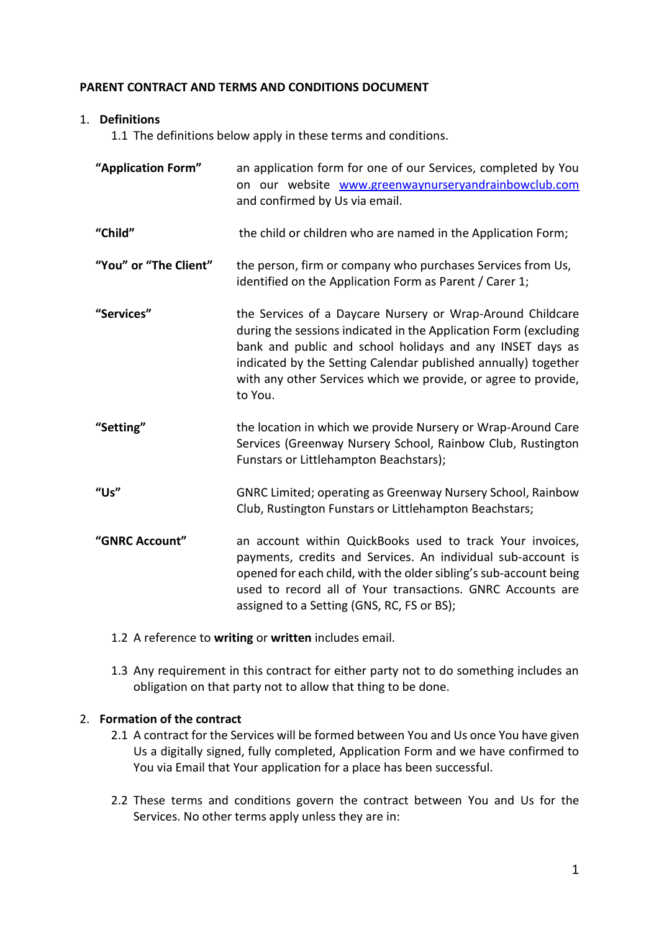### **PARENT CONTRACT AND TERMS AND CONDITIONS DOCUMENT**

### 1. **Definitions**

1.1 The definitions below apply in these terms and conditions.

| "Application Form"    | an application form for one of our Services, completed by You<br>on our website www.greenwaynurseryandrainbowclub.com<br>and confirmed by Us via email.                                                                                                                                                                                    |
|-----------------------|--------------------------------------------------------------------------------------------------------------------------------------------------------------------------------------------------------------------------------------------------------------------------------------------------------------------------------------------|
| "Child"               | the child or children who are named in the Application Form;                                                                                                                                                                                                                                                                               |
| "You" or "The Client" | the person, firm or company who purchases Services from Us,<br>identified on the Application Form as Parent / Carer 1;                                                                                                                                                                                                                     |
| "Services"            | the Services of a Daycare Nursery or Wrap-Around Childcare<br>during the sessions indicated in the Application Form (excluding<br>bank and public and school holidays and any INSET days as<br>indicated by the Setting Calendar published annually) together<br>with any other Services which we provide, or agree to provide,<br>to You. |
| "Setting"             | the location in which we provide Nursery or Wrap-Around Care<br>Services (Greenway Nursery School, Rainbow Club, Rustington<br>Funstars or Littlehampton Beachstars);                                                                                                                                                                      |
| "Us"                  | GNRC Limited; operating as Greenway Nursery School, Rainbow<br>Club, Rustington Funstars or Littlehampton Beachstars;                                                                                                                                                                                                                      |
| "GNRC Account"        | an account within QuickBooks used to track Your invoices,<br>payments, credits and Services. An individual sub-account is<br>opened for each child, with the older sibling's sub-account being<br>used to record all of Your transactions. GNRC Accounts are<br>assigned to a Setting (GNS, RC, FS or BS);                                 |

- 1.2 A reference to **writing** or **written** includes email.
- 1.3 Any requirement in this contract for either party not to do something includes an obligation on that party not to allow that thing to be done.

# 2. **Formation of the contract**

- 2.1 A contract for the Services will be formed between You and Us once You have given Us a digitally signed, fully completed, Application Form and we have confirmed to You via Email that Your application for a place has been successful.
- 2.2 These terms and conditions govern the contract between You and Us for the Services. No other terms apply unless they are in: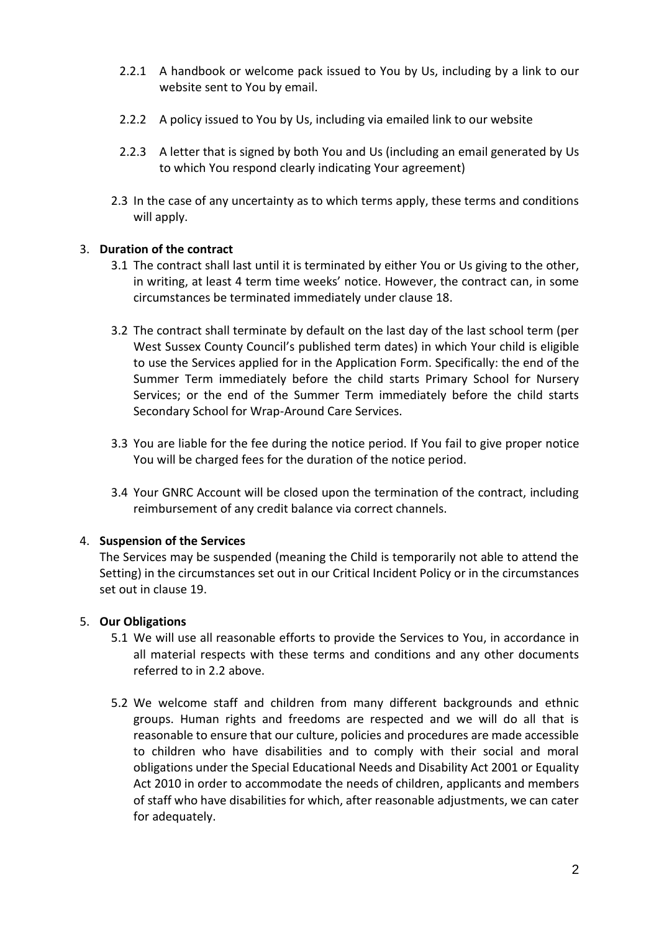- 2.2.1 A handbook or welcome pack issued to You by Us, including by a link to our website sent to You by email.
- 2.2.2 A policy issued to You by Us, including via emailed link to our website
- 2.2.3 A letter that is signed by both You and Us (including an email generated by Us to which You respond clearly indicating Your agreement)
- 2.3 In the case of any uncertainty as to which terms apply, these terms and conditions will apply.

# 3. **Duration of the contract**

- 3.1 The contract shall last until it is terminated by either You or Us giving to the other, in writing, at least 4 term time weeks' notice. However, the contract can, in some circumstances be terminated immediately under clause 18.
- 3.2 The contract shall terminate by default on the last day of the last school term (per West Sussex County Council's published term dates) in which Your child is eligible to use the Services applied for in the Application Form. Specifically: the end of the Summer Term immediately before the child starts Primary School for Nursery Services; or the end of the Summer Term immediately before the child starts Secondary School for Wrap-Around Care Services.
- 3.3 You are liable for the fee during the notice period. If You fail to give proper notice You will be charged fees for the duration of the notice period.
- 3.4 Your GNRC Account will be closed upon the termination of the contract, including reimbursement of any credit balance via correct channels.

### 4. **Suspension of the Services**

The Services may be suspended (meaning the Child is temporarily not able to attend the Setting) in the circumstances set out in our Critical Incident Policy or in the circumstances set out in clause 19.

### 5. **Our Obligations**

- 5.1 We will use all reasonable efforts to provide the Services to You, in accordance in all material respects with these terms and conditions and any other documents referred to in 2.2 above.
- 5.2 We welcome staff and children from many different backgrounds and ethnic groups. Human rights and freedoms are respected and we will do all that is reasonable to ensure that our culture, policies and procedures are made accessible to children who have disabilities and to comply with their social and moral obligations under the Special Educational Needs and Disability Act 2001 or Equality Act 2010 in order to accommodate the needs of children, applicants and members of staff who have disabilities for which, after reasonable adjustments, we can cater for adequately.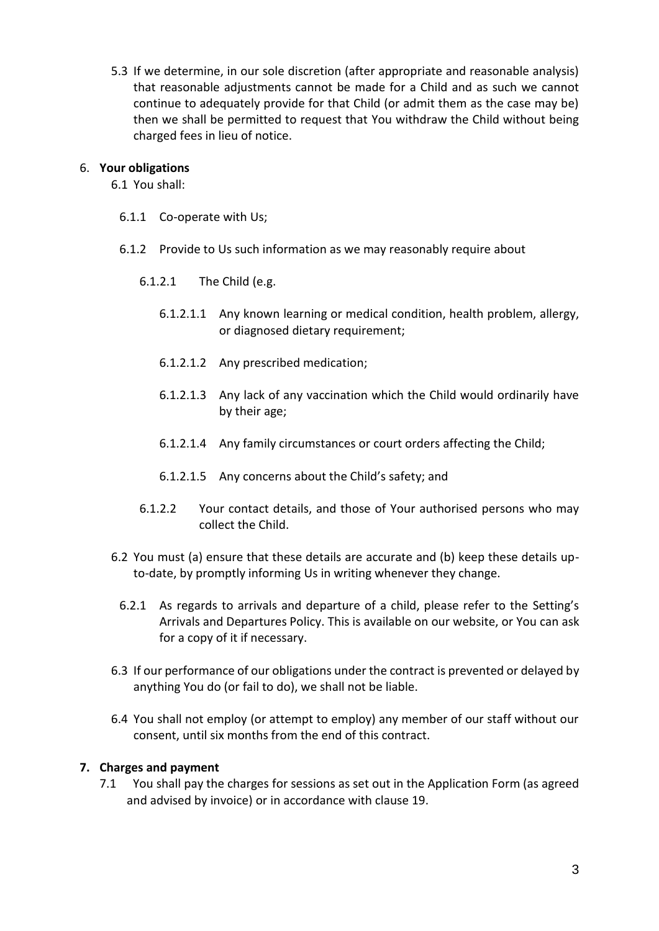5.3 If we determine, in our sole discretion (after appropriate and reasonable analysis) that reasonable adjustments cannot be made for a Child and as such we cannot continue to adequately provide for that Child (or admit them as the case may be) then we shall be permitted to request that You withdraw the Child without being charged fees in lieu of notice.

### 6. **Your obligations**

6.1 You shall:

- 6.1.1 Co-operate with Us;
- 6.1.2 Provide to Us such information as we may reasonably require about
	- 6.1.2.1 The Child (e.g.
		- 6.1.2.1.1 Any known learning or medical condition, health problem, allergy, or diagnosed dietary requirement;
		- 6.1.2.1.2 Any prescribed medication;
		- 6.1.2.1.3 Any lack of any vaccination which the Child would ordinarily have by their age;
		- 6.1.2.1.4 Any family circumstances or court orders affecting the Child;
		- 6.1.2.1.5 Any concerns about the Child's safety; and
	- 6.1.2.2 Your contact details, and those of Your authorised persons who may collect the Child.
- 6.2 You must (a) ensure that these details are accurate and (b) keep these details upto-date, by promptly informing Us in writing whenever they change.
	- 6.2.1 As regards to arrivals and departure of a child, please refer to the Setting's Arrivals and Departures Policy. This is available on our website, or You can ask for a copy of it if necessary.
- 6.3 If our performance of our obligations under the contract is prevented or delayed by anything You do (or fail to do), we shall not be liable.
- 6.4 You shall not employ (or attempt to employ) any member of our staff without our consent, until six months from the end of this contract.

# **7. Charges and payment**

7.1 You shall pay the charges for sessions as set out in the Application Form (as agreed and advised by invoice) or in accordance with clause 19.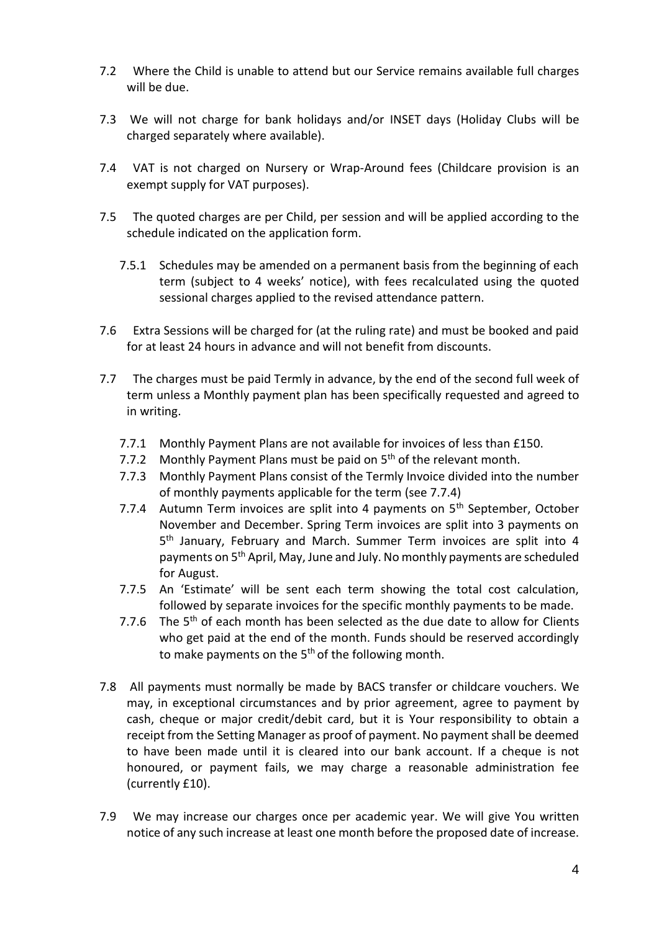- 7.2 Where the Child is unable to attend but our Service remains available full charges will be due.
- 7.3 We will not charge for bank holidays and/or INSET days (Holiday Clubs will be charged separately where available).
- 7.4 VAT is not charged on Nursery or Wrap-Around fees (Childcare provision is an exempt supply for VAT purposes).
- 7.5 The quoted charges are per Child, per session and will be applied according to the schedule indicated on the application form.
	- 7.5.1 Schedules may be amended on a permanent basis from the beginning of each term (subject to 4 weeks' notice), with fees recalculated using the quoted sessional charges applied to the revised attendance pattern.
- 7.6 Extra Sessions will be charged for (at the ruling rate) and must be booked and paid for at least 24 hours in advance and will not benefit from discounts.
- 7.7 The charges must be paid Termly in advance, by the end of the second full week of term unless a Monthly payment plan has been specifically requested and agreed to in writing.
	- 7.7.1 Monthly Payment Plans are not available for invoices of less than £150.
	- 7.7.2 Monthly Payment Plans must be paid on  $5<sup>th</sup>$  of the relevant month.
	- 7.7.3 Monthly Payment Plans consist of the Termly Invoice divided into the number of monthly payments applicable for the term (see 7.7.4)
	- 7.7.4 Autumn Term invoices are split into 4 payments on  $5<sup>th</sup>$  September, October November and December. Spring Term invoices are split into 3 payments on 5<sup>th</sup> January, February and March. Summer Term invoices are split into 4 payments on 5th April, May, June and July. No monthly payments are scheduled for August.
	- 7.7.5 An 'Estimate' will be sent each term showing the total cost calculation, followed by separate invoices for the specific monthly payments to be made.
	- 7.7.6 The  $5<sup>th</sup>$  of each month has been selected as the due date to allow for Clients who get paid at the end of the month. Funds should be reserved accordingly to make payments on the 5<sup>th</sup> of the following month.
- 7.8 All payments must normally be made by BACS transfer or childcare vouchers. We may, in exceptional circumstances and by prior agreement, agree to payment by cash, cheque or major credit/debit card, but it is Your responsibility to obtain a receipt from the Setting Manager as proof of payment. No payment shall be deemed to have been made until it is cleared into our bank account. If a cheque is not honoured, or payment fails, we may charge a reasonable administration fee (currently £10).
- 7.9 We may increase our charges once per academic year. We will give You written notice of any such increase at least one month before the proposed date of increase.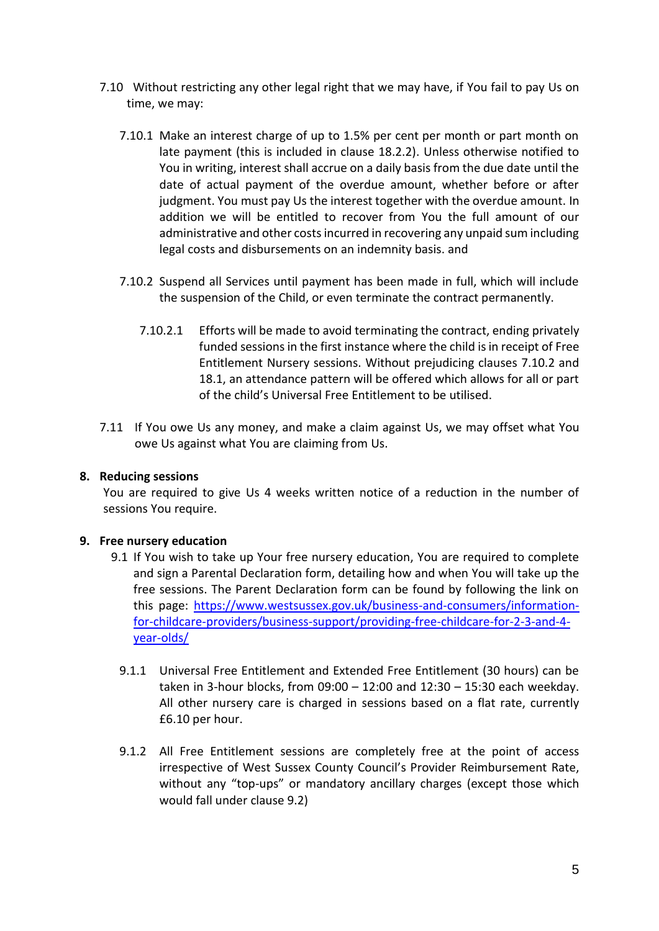- 7.10 Without restricting any other legal right that we may have, if You fail to pay Us on time, we may:
	- 7.10.1 Make an interest charge of up to 1.5% per cent per month or part month on late payment (this is included in clause 18.2.2). Unless otherwise notified to You in writing, interest shall accrue on a daily basis from the due date until the date of actual payment of the overdue amount, whether before or after judgment. You must pay Us the interest together with the overdue amount. In addition we will be entitled to recover from You the full amount of our administrative and other costs incurred in recovering any unpaid sum including legal costs and disbursements on an indemnity basis. and
	- 7.10.2 Suspend all Services until payment has been made in full, which will include the suspension of the Child, or even terminate the contract permanently.
		- 7.10.2.1 Efforts will be made to avoid terminating the contract, ending privately funded sessions in the first instance where the child is in receipt of Free Entitlement Nursery sessions. Without prejudicing clauses 7.10.2 and 18.1, an attendance pattern will be offered which allows for all or part of the child's Universal Free Entitlement to be utilised.
- 7.11 If You owe Us any money, and make a claim against Us, we may offset what You owe Us against what You are claiming from Us.

### **8. Reducing sessions**

You are required to give Us 4 weeks written notice of a reduction in the number of sessions You require.

# **9. Free nursery education**

- 9.1 If You wish to take up Your free nursery education, You are required to complete and sign a Parental Declaration form, detailing how and when You will take up the free sessions. The Parent Declaration form can be found by following the link on this page: [https://www.westsussex.gov.uk/business-and-consumers/information](https://www.westsussex.gov.uk/business-and-consumers/information-for-childcare-providers/business-support/providing-free-childcare-for-2-3-and-4-year-olds/)[for-childcare-providers/business-support/providing-free-childcare-for-2-3-and-4](https://www.westsussex.gov.uk/business-and-consumers/information-for-childcare-providers/business-support/providing-free-childcare-for-2-3-and-4-year-olds/) [year-olds/](https://www.westsussex.gov.uk/business-and-consumers/information-for-childcare-providers/business-support/providing-free-childcare-for-2-3-and-4-year-olds/)
	- 9.1.1 Universal Free Entitlement and Extended Free Entitlement (30 hours) can be taken in 3-hour blocks, from 09:00 – 12:00 and 12:30 – 15:30 each weekday. All other nursery care is charged in sessions based on a flat rate, currently £6.10 per hour.
	- 9.1.2 All Free Entitlement sessions are completely free at the point of access irrespective of West Sussex County Council's Provider Reimbursement Rate, without any "top-ups" or mandatory ancillary charges (except those which would fall under clause 9.2)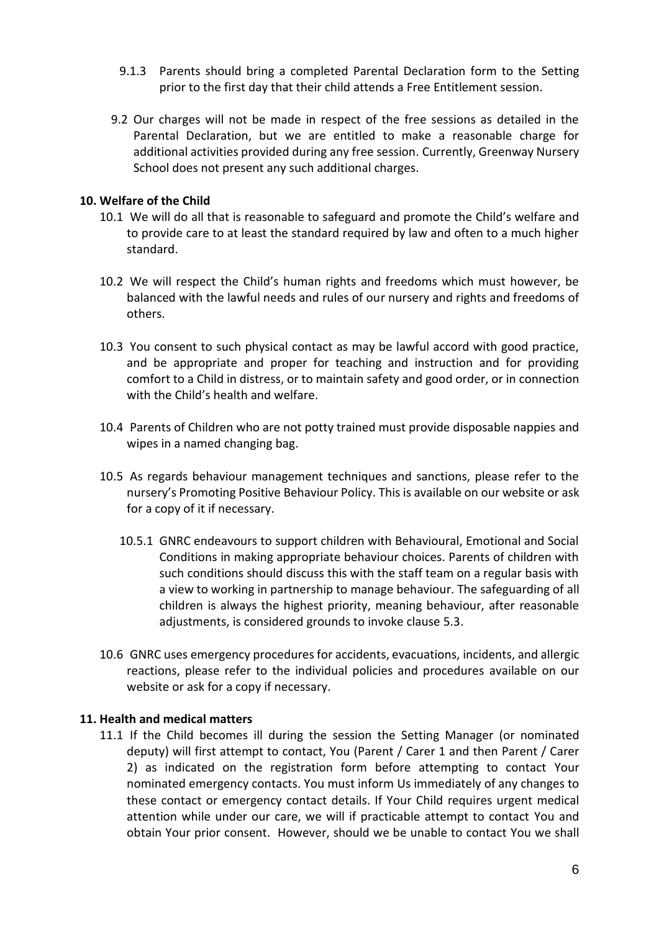- 9.1.3 Parents should bring a completed Parental Declaration form to the Setting prior to the first day that their child attends a Free Entitlement session.
- 9.2 Our charges will not be made in respect of the free sessions as detailed in the Parental Declaration, but we are entitled to make a reasonable charge for additional activities provided during any free session. Currently, Greenway Nursery School does not present any such additional charges.

### **10. Welfare of the Child**

- 10.1 We will do all that is reasonable to safeguard and promote the Child's welfare and to provide care to at least the standard required by law and often to a much higher standard.
- 10.2 We will respect the Child's human rights and freedoms which must however, be balanced with the lawful needs and rules of our nursery and rights and freedoms of others.
- 10.3 You consent to such physical contact as may be lawful accord with good practice, and be appropriate and proper for teaching and instruction and for providing comfort to a Child in distress, or to maintain safety and good order, or in connection with the Child's health and welfare.
- 10.4 Parents of Children who are not potty trained must provide disposable nappies and wipes in a named changing bag.
- 10.5 As regards behaviour management techniques and sanctions, please refer to the nursery's Promoting Positive Behaviour Policy. This is available on our website or ask for a copy of it if necessary.
	- 10.5.1 GNRC endeavours to support children with Behavioural, Emotional and Social Conditions in making appropriate behaviour choices. Parents of children with such conditions should discuss this with the staff team on a regular basis with a view to working in partnership to manage behaviour. The safeguarding of all children is always the highest priority, meaning behaviour, after reasonable adjustments, is considered grounds to invoke clause 5.3.
- 10.6 GNRC uses emergency procedures for accidents, evacuations, incidents, and allergic reactions, please refer to the individual policies and procedures available on our website or ask for a copy if necessary.

### **11. Health and medical matters**

11.1 If the Child becomes ill during the session the Setting Manager (or nominated deputy) will first attempt to contact, You (Parent / Carer 1 and then Parent / Carer 2) as indicated on the registration form before attempting to contact Your nominated emergency contacts. You must inform Us immediately of any changes to these contact or emergency contact details. If Your Child requires urgent medical attention while under our care, we will if practicable attempt to contact You and obtain Your prior consent. However, should we be unable to contact You we shall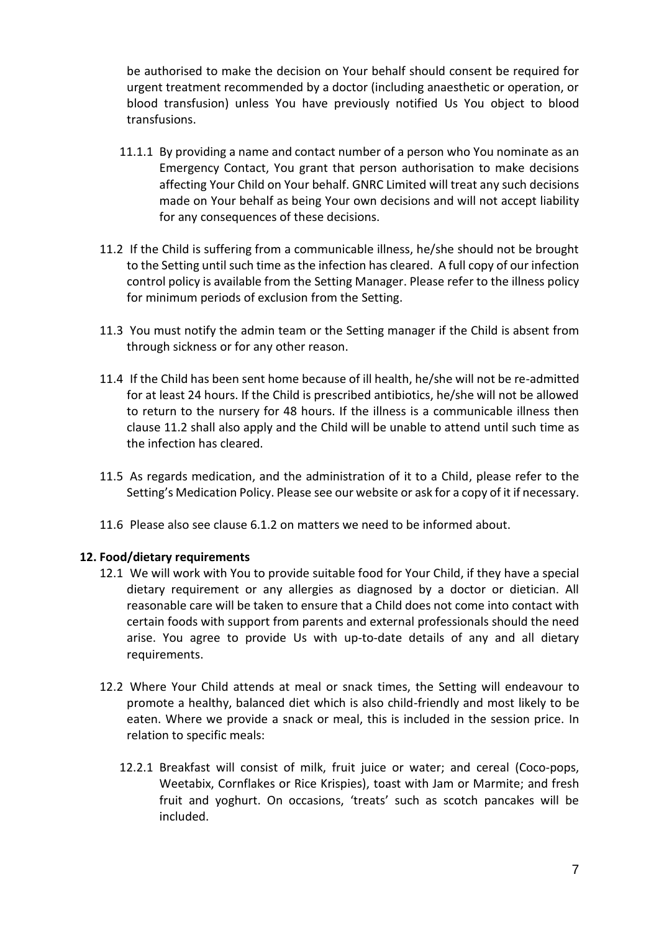be authorised to make the decision on Your behalf should consent be required for urgent treatment recommended by a doctor (including anaesthetic or operation, or blood transfusion) unless You have previously notified Us You object to blood transfusions.

- 11.1.1 By providing a name and contact number of a person who You nominate as an Emergency Contact, You grant that person authorisation to make decisions affecting Your Child on Your behalf. GNRC Limited will treat any such decisions made on Your behalf as being Your own decisions and will not accept liability for any consequences of these decisions.
- 11.2 If the Child is suffering from a communicable illness, he/she should not be brought to the Setting until such time as the infection has cleared. A full copy of our infection control policy is available from the Setting Manager. Please refer to the illness policy for minimum periods of exclusion from the Setting.
- 11.3 You must notify the admin team or the Setting manager if the Child is absent from through sickness or for any other reason.
- 11.4 If the Child has been sent home because of ill health, he/she will not be re-admitted for at least 24 hours. If the Child is prescribed antibiotics, he/she will not be allowed to return to the nursery for 48 hours. If the illness is a communicable illness then clause 11.2 shall also apply and the Child will be unable to attend until such time as the infection has cleared.
- 11.5 As regards medication, and the administration of it to a Child, please refer to the Setting's Medication Policy. Please see our website or ask for a copy of it if necessary.
- 11.6 Please also see clause 6.1.2 on matters we need to be informed about.

### **12. Food/dietary requirements**

- 12.1 We will work with You to provide suitable food for Your Child, if they have a special dietary requirement or any allergies as diagnosed by a doctor or dietician. All reasonable care will be taken to ensure that a Child does not come into contact with certain foods with support from parents and external professionals should the need arise. You agree to provide Us with up-to-date details of any and all dietary requirements.
- 12.2 Where Your Child attends at meal or snack times, the Setting will endeavour to promote a healthy, balanced diet which is also child-friendly and most likely to be eaten. Where we provide a snack or meal, this is included in the session price. In relation to specific meals:
	- 12.2.1 Breakfast will consist of milk, fruit juice or water; and cereal (Coco-pops, Weetabix, Cornflakes or Rice Krispies), toast with Jam or Marmite; and fresh fruit and yoghurt. On occasions, 'treats' such as scotch pancakes will be included.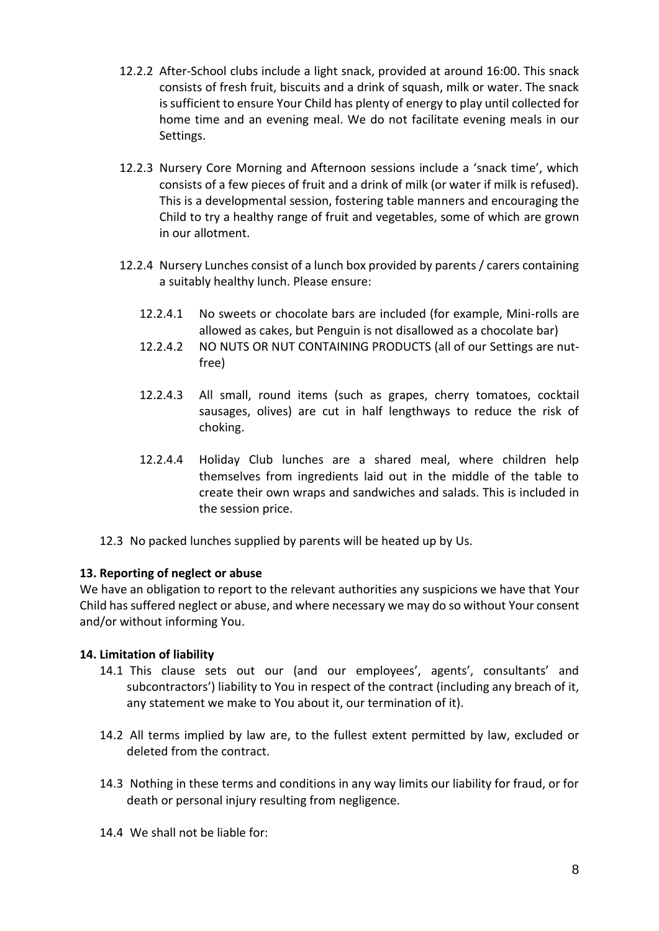- 12.2.2 After-School clubs include a light snack, provided at around 16:00. This snack consists of fresh fruit, biscuits and a drink of squash, milk or water. The snack is sufficient to ensure Your Child has plenty of energy to play until collected for home time and an evening meal. We do not facilitate evening meals in our Settings.
- 12.2.3 Nursery Core Morning and Afternoon sessions include a 'snack time', which consists of a few pieces of fruit and a drink of milk (or water if milk is refused). This is a developmental session, fostering table manners and encouraging the Child to try a healthy range of fruit and vegetables, some of which are grown in our allotment.
- 12.2.4 Nursery Lunches consist of a lunch box provided by parents / carers containing a suitably healthy lunch. Please ensure:
	- 12.2.4.1 No sweets or chocolate bars are included (for example, Mini-rolls are allowed as cakes, but Penguin is not disallowed as a chocolate bar)
	- 12.2.4.2 NO NUTS OR NUT CONTAINING PRODUCTS (all of our Settings are nutfree)
	- 12.2.4.3 All small, round items (such as grapes, cherry tomatoes, cocktail sausages, olives) are cut in half lengthways to reduce the risk of choking.
	- 12.2.4.4 Holiday Club lunches are a shared meal, where children help themselves from ingredients laid out in the middle of the table to create their own wraps and sandwiches and salads. This is included in the session price.
- 12.3 No packed lunches supplied by parents will be heated up by Us.

### **13. Reporting of neglect or abuse**

We have an obligation to report to the relevant authorities any suspicions we have that Your Child has suffered neglect or abuse, and where necessary we may do so without Your consent and/or without informing You.

# **14. Limitation of liability**

- 14.1 This clause sets out our (and our employees', agents', consultants' and subcontractors') liability to You in respect of the contract (including any breach of it, any statement we make to You about it, our termination of it).
- 14.2 All terms implied by law are, to the fullest extent permitted by law, excluded or deleted from the contract.
- 14.3 Nothing in these terms and conditions in any way limits our liability for fraud, or for death or personal injury resulting from negligence.
- 14.4 We shall not be liable for: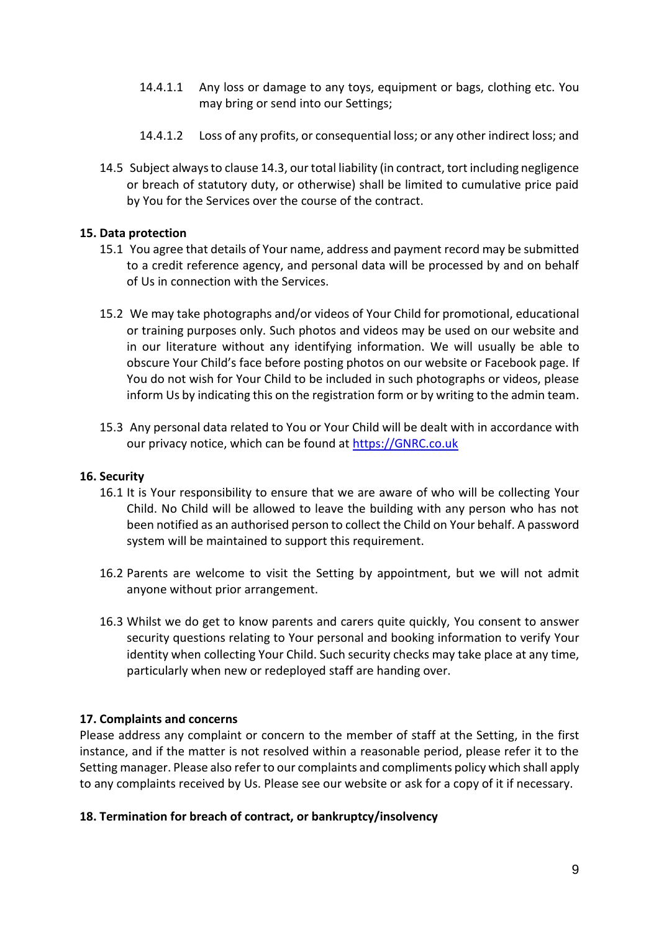- 14.4.1.1 Any loss or damage to any toys, equipment or bags, clothing etc. You may bring or send into our Settings;
- 14.4.1.2 Loss of any profits, or consequential loss; or any other indirect loss; and
- 14.5 Subject always to clause 14.3, our total liability (in contract, tort including negligence or breach of statutory duty, or otherwise) shall be limited to cumulative price paid by You for the Services over the course of the contract.

### **15. Data protection**

- 15.1 You agree that details of Your name, address and payment record may be submitted to a credit reference agency, and personal data will be processed by and on behalf of Us in connection with the Services.
- 15.2 We may take photographs and/or videos of Your Child for promotional, educational or training purposes only. Such photos and videos may be used on our website and in our literature without any identifying information. We will usually be able to obscure Your Child's face before posting photos on our website or Facebook page. If You do not wish for Your Child to be included in such photographs or videos, please inform Us by indicating this on the registration form or by writing to the admin team.
- 15.3 Any personal data related to You or Your Child will be dealt with in accordance with our privacy notice, which can be found at [https://GNRC.co.uk](https://gnrc.co.uk/)

### **16. Security**

- 16.1 It is Your responsibility to ensure that we are aware of who will be collecting Your Child. No Child will be allowed to leave the building with any person who has not been notified as an authorised person to collect the Child on Your behalf. A password system will be maintained to support this requirement.
- 16.2 Parents are welcome to visit the Setting by appointment, but we will not admit anyone without prior arrangement.
- 16.3 Whilst we do get to know parents and carers quite quickly, You consent to answer security questions relating to Your personal and booking information to verify Your identity when collecting Your Child. Such security checks may take place at any time, particularly when new or redeployed staff are handing over.

### **17. Complaints and concerns**

Please address any complaint or concern to the member of staff at the Setting, in the first instance, and if the matter is not resolved within a reasonable period, please refer it to the Setting manager. Please also refer to our complaints and compliments policy which shall apply to any complaints received by Us. Please see our website or ask for a copy of it if necessary.

### **18. Termination for breach of contract, or bankruptcy/insolvency**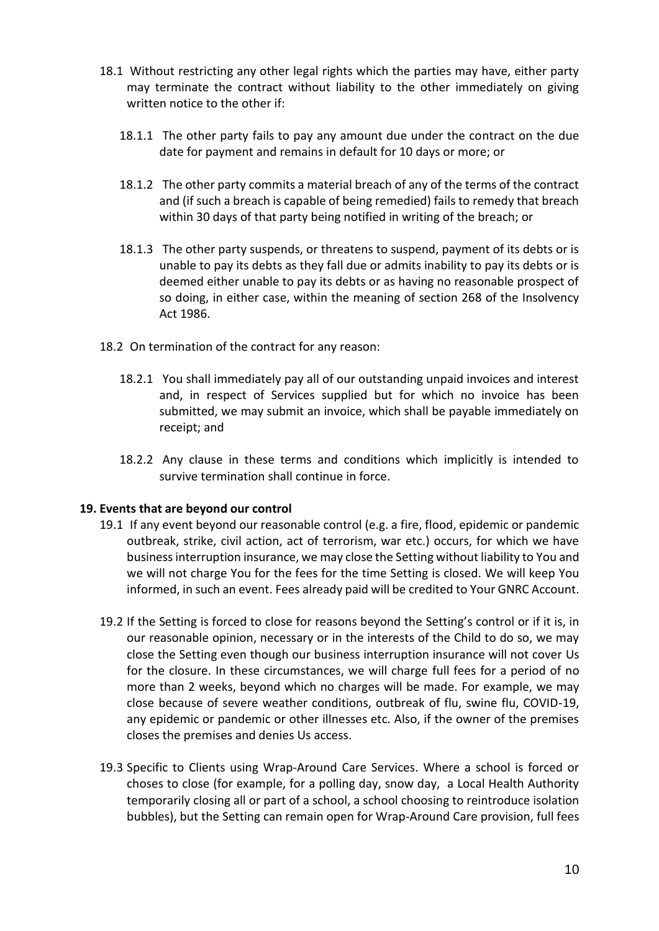- 18.1 Without restricting any other legal rights which the parties may have, either party may terminate the contract without liability to the other immediately on giving written notice to the other if:
	- 18.1.1 The other party fails to pay any amount due under the contract on the due date for payment and remains in default for 10 days or more; or
	- 18.1.2 The other party commits a material breach of any of the terms of the contract and (if such a breach is capable of being remedied) fails to remedy that breach within 30 days of that party being notified in writing of the breach; or
	- 18.1.3 The other party suspends, or threatens to suspend, payment of its debts or is unable to pay its debts as they fall due or admits inability to pay its debts or is deemed either unable to pay its debts or as having no reasonable prospect of so doing, in either case, within the meaning of section 268 of the Insolvency Act 1986.
- 18.2 On termination of the contract for any reason:
	- 18.2.1 You shall immediately pay all of our outstanding unpaid invoices and interest and, in respect of Services supplied but for which no invoice has been submitted, we may submit an invoice, which shall be payable immediately on receipt; and
	- 18.2.2 Any clause in these terms and conditions which implicitly is intended to survive termination shall continue in force.

### **19. Events that are beyond our control**

- 19.1 If any event beyond our reasonable control (e.g. a fire, flood, epidemic or pandemic outbreak, strike, civil action, act of terrorism, war etc.) occurs, for which we have business interruption insurance, we may close the Setting without liability to You and we will not charge You for the fees for the time Setting is closed. We will keep You informed, in such an event. Fees already paid will be credited to Your GNRC Account.
- 19.2 If the Setting is forced to close for reasons beyond the Setting's control or if it is, in our reasonable opinion, necessary or in the interests of the Child to do so, we may close the Setting even though our business interruption insurance will not cover Us for the closure. In these circumstances, we will charge full fees for a period of no more than 2 weeks, beyond which no charges will be made. For example, we may close because of severe weather conditions, outbreak of flu, swine flu, COVID-19, any epidemic or pandemic or other illnesses etc. Also, if the owner of the premises closes the premises and denies Us access.
- 19.3 Specific to Clients using Wrap-Around Care Services. Where a school is forced or choses to close (for example, for a polling day, snow day, a Local Health Authority temporarily closing all or part of a school, a school choosing to reintroduce isolation bubbles), but the Setting can remain open for Wrap-Around Care provision, full fees